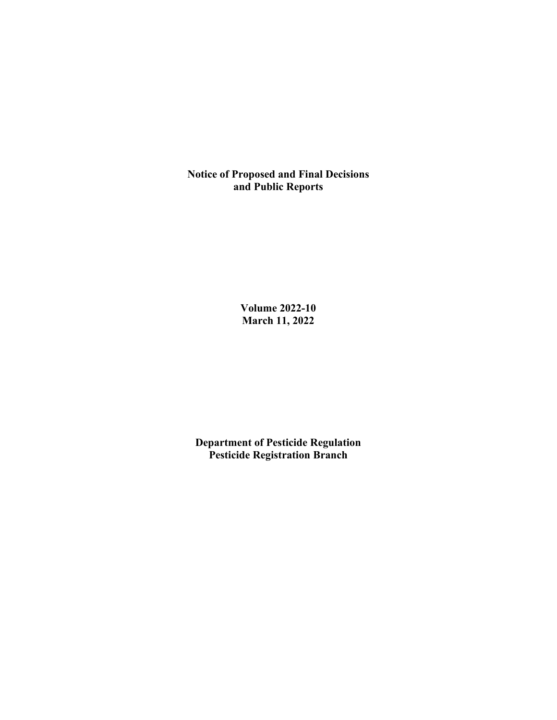**Notice of Proposed and Final Decisions and Public Reports**

> **Volume 2022-10 March 11, 2022**

**Department of Pesticide Regulation Pesticide Registration Branch**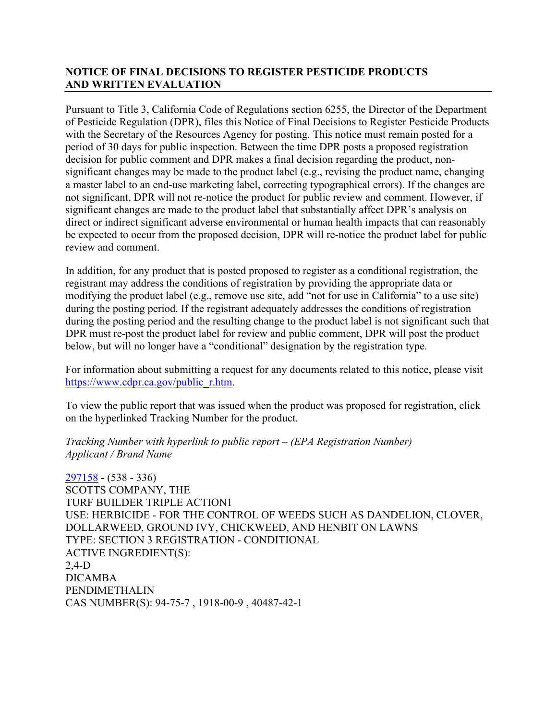# **NOTICE OF FINAL DECISIONS TO REGISTER PESTICIDE PRODUCTS AND WRITTEN EVALUATION**

Pursuant to Title 3, California Code of Regulations section 6255, the Director of the Department of Pesticide Regulation (DPR), files this Notice of Final Decisions to Register Pesticide Products with the Secretary of the Resources Agency for posting. This notice must remain posted for a period of 30 days for public inspection. Between the time DPR posts a proposed registration decision for public comment and DPR makes a final decision regarding the product, nonsignificant changes may be made to the product label (e.g., revising the product name, changing a master label to an end-use marketing label, correcting typographical errors). If the changes are not significant, DPR will not re-notice the product for public review and comment. However, if significant changes are made to the product label that substantially affect DPR's analysis on direct or indirect significant adverse environmental or human health impacts that can reasonably be expected to occur from the proposed decision, DPR will re-notice the product label for public review and comment.

In addition, for any product that is posted proposed to register as a conditional registration, the registrant may address the conditions of registration by providing the appropriate data or modifying the product label (e.g., remove use site, add "not for use in California" to a use site) during the posting period. If the registrant adequately addresses the conditions of registration during the posting period and the resulting change to the product label is not significant such that DPR must re-post the product label for review and public comment, DPR will post the product below, but will no longer have a "conditional" designation by the registration type.

For information about submitting a request for any documents related to this notice, please visit [https://www.cdpr.ca.gov/public\\_r.htm.](https://www.cdpr.ca.gov/public_r.htm)

To view the public report that was issued when the product was proposed for registration, click on the hyperlinked Tracking Number for the product.

*Tracking Number with hyperlink to public report – (EPA Registration Number) Applicant / Brand Name*

[297158](https://www.cdpr.ca.gov/docs/registration/nod/public_reports/297158.pdf) - (538 - 336) SCOTTS COMPANY, THE TURF BUILDER TRIPLE ACTION1 USE: HERBICIDE - FOR THE CONTROL OF WEEDS SUCH AS DANDELION, CLOVER, DOLLARWEED, GROUND IVY, CHICKWEED, AND HENBIT ON LAWNS TYPE: SECTION 3 REGISTRATION - CONDITIONAL ACTIVE INGREDIENT(S): 2,4-D DICAMBA PENDIMETHALIN CAS NUMBER(S): 94-75-7 , 1918-00-9 , 40487-42-1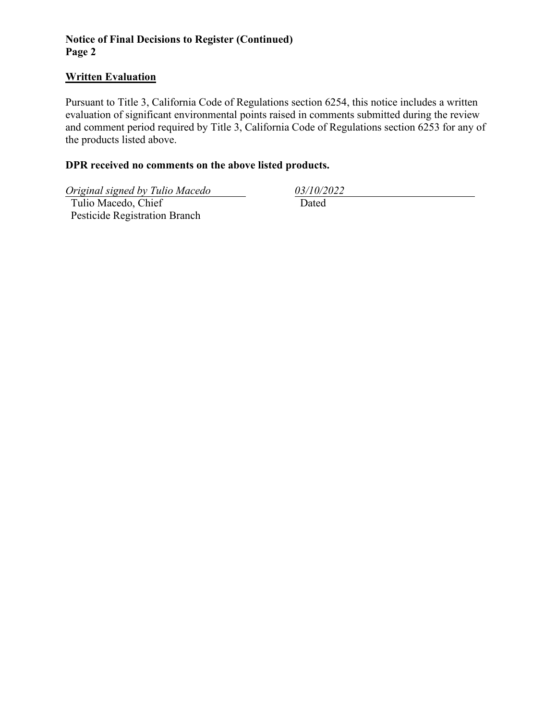# **Notice of Final Decisions to Register (Continued) Page 2**

#### **Written Evaluation**

Pursuant to Title 3, California Code of Regulations section 6254, this notice includes a written evaluation of significant environmental points raised in comments submitted during the review and comment period required by Title 3, California Code of Regulations section 6253 for any of the products listed above.

# **DPR received no comments on the above listed products.**

*Original signed by Tulio Macedo 03/10/2022*

 Tulio Macedo, Chief Pesticide Registration Branch

Dated